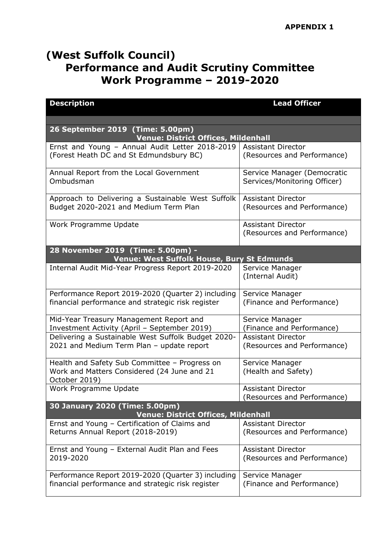## **(West Suffolk Council) Performance and Audit Scrutiny Committee Work Programme – 2019-2020**

| <b>Description</b>                                                                         | <b>Lead Officer</b>                                         |  |
|--------------------------------------------------------------------------------------------|-------------------------------------------------------------|--|
|                                                                                            |                                                             |  |
| 26 September 2019 (Time: 5.00pm)<br><b>Venue: District Offices, Mildenhall</b>             |                                                             |  |
| Ernst and Young - Annual Audit Letter 2018-2019<br>(Forest Heath DC and St Edmundsbury BC) | <b>Assistant Director</b><br>(Resources and Performance)    |  |
| Annual Report from the Local Government<br>Ombudsman                                       | Service Manager (Democratic<br>Services/Monitoring Officer) |  |
| Approach to Delivering a Sustainable West Suffolk<br>Budget 2020-2021 and Medium Term Plan | <b>Assistant Director</b><br>(Resources and Performance)    |  |
| Work Programme Update                                                                      | <b>Assistant Director</b><br>(Resources and Performance)    |  |
| 28 November 2019 (Time: 5.00pm) -<br>Venue: West Suffolk House, Bury St Edmunds            |                                                             |  |
| Internal Audit Mid-Year Progress Report 2019-2020                                          | Service Manager<br>(Internal Audit)                         |  |
| Performance Report 2019-2020 (Quarter 2) including                                         | Service Manager                                             |  |
| financial performance and strategic risk register                                          | (Finance and Performance)                                   |  |
| Mid-Year Treasury Management Report and                                                    | Service Manager                                             |  |
| Investment Activity (April - September 2019)                                               | (Finance and Performance)                                   |  |
| Delivering a Sustainable West Suffolk Budget 2020-                                         | <b>Assistant Director</b>                                   |  |
| 2021 and Medium Term Plan - update report                                                  | (Resources and Performance)                                 |  |
| Health and Safety Sub Committee - Progress on                                              | Service Manager                                             |  |
| Work and Matters Considered (24 June and 21<br>October 2019)                               | (Health and Safety)                                         |  |
| Work Programme Update                                                                      | <b>Assistant Director</b>                                   |  |
|                                                                                            | (Resources and Performance)                                 |  |
| 30 January 2020 (Time: 5.00pm)<br><b>Venue: District Offices, Mildenhall</b>               |                                                             |  |
| Ernst and Young - Certification of Claims and                                              | <b>Assistant Director</b>                                   |  |
| Returns Annual Report (2018-2019)                                                          | (Resources and Performance)                                 |  |
| Ernst and Young - External Audit Plan and Fees<br>2019-2020                                | <b>Assistant Director</b><br>(Resources and Performance)    |  |
|                                                                                            |                                                             |  |
| Performance Report 2019-2020 (Quarter 3) including                                         | Service Manager                                             |  |
| financial performance and strategic risk register                                          | (Finance and Performance)                                   |  |